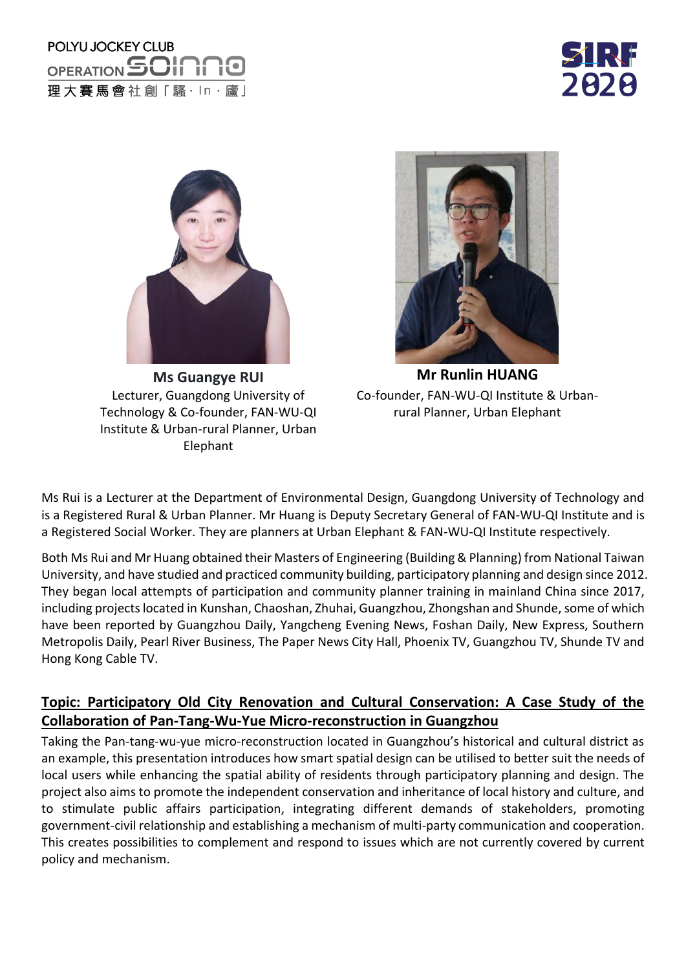## POLYU JOCKEY CLUB OPERATION SOIN 理大賽馬會社創「騷·ln·廬」





Lecturer, Guangdong University of Technology & Co-founder, FAN-WU-QI Institute & Urban-rural Planner, Urban Elephant



**Ms Guangye RUI <b>Mr Runlin HUANG** Co-founder, FAN-WU-QI Institute & Urbanrural Planner, Urban Elephant

Ms Rui is a Lecturer at the Department of Environmental Design, Guangdong University of Technology and is a Registered Rural & Urban Planner. Mr Huang is Deputy Secretary General of FAN-WU-QI Institute and is a Registered Social Worker. They are planners at Urban Elephant & FAN-WU-QI Institute respectively.

Both Ms Rui and Mr Huang obtained their Masters of Engineering (Building & Planning) from National Taiwan University, and have studied and practiced community building, participatory planning and design since 2012. They began local attempts of participation and community planner training in mainland China since 2017, including projects located in Kunshan, Chaoshan, Zhuhai, Guangzhou, Zhongshan and Shunde, some of which have been reported by Guangzhou Daily, Yangcheng Evening News, Foshan Daily, New Express, Southern Metropolis Daily, Pearl River Business, The Paper News City Hall, Phoenix TV, Guangzhou TV, Shunde TV and Hong Kong Cable TV.

## **Topic: Participatory Old City Renovation and Cultural Conservation: A Case Study of the Collaboration of Pan-Tang-Wu-Yue Micro-reconstruction in Guangzhou**

Taking the Pan-tang-wu-yue micro-reconstruction located in Guangzhou's historical and cultural district as an example, this presentation introduces how smart spatial design can be utilised to better suit the needs of local users while enhancing the spatial ability of residents through participatory planning and design. The project also aims to promote the independent conservation and inheritance of local history and culture, and to stimulate public affairs participation, integrating different demands of stakeholders, promoting government-civil relationship and establishing a mechanism of multi-party communication and cooperation. This creates possibilities to complement and respond to issues which are not currently covered by current policy and mechanism.